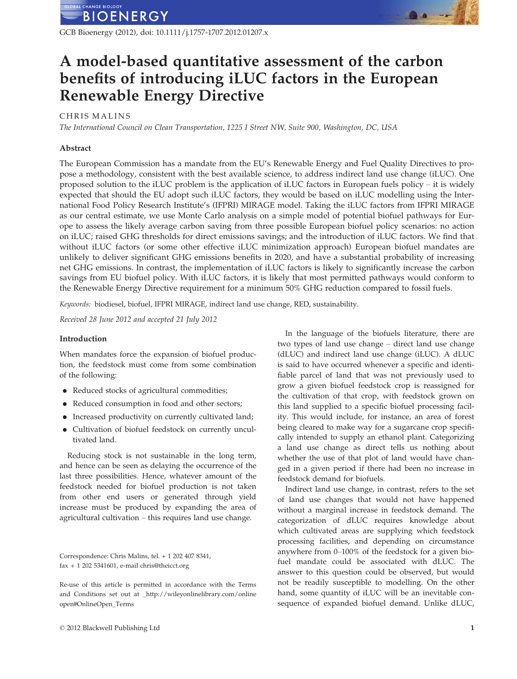

GCB Bioenergy (2012), doi: 10.1111/j.1757-1707.2012.01207.x

# A model-based quantitative assessment of the carbon benefits of introducing iLUC factors in the European Renewable Energy Directive

# CHRIS MALINS

The International Council on Clean Transportation, 1225 I Street NW, Suite 900, Washington, DC, USA

#### Abstract

The European Commission has a mandate from the EU's Renewable Energy and Fuel Quality Directives to propose a methodology, consistent with the best available science, to address indirect land use change (iLUC). One proposed solution to the iLUC problem is the application of iLUC factors in European fuels policy – it is widely expected that should the EU adopt such iLUC factors, they would be based on iLUC modelling using the International Food Policy Research Institute's (IFPRI) MIRAGE model. Taking the iLUC factors from IFPRI MIRAGE as our central estimate, we use Monte Carlo analysis on a simple model of potential biofuel pathways for Europe to assess the likely average carbon saving from three possible European biofuel policy scenarios: no action on iLUC; raised GHG thresholds for direct emissions savings; and the introduction of iLUC factors. We find that without iLUC factors (or some other effective iLUC minimization approach) European biofuel mandates are unlikely to deliver significant GHG emissions benefits in 2020, and have a substantial probability of increasing net GHG emissions. In contrast, the implementation of iLUC factors is likely to significantly increase the carbon savings from EU biofuel policy. With iLUC factors, it is likely that most permitted pathways would conform to the Renewable Energy Directive requirement for a minimum 50% GHG reduction compared to fossil fuels.

Keywords: biodiesel, biofuel, IFPRI MIRAGE, indirect land use change, RED, sustainability.

Received 28 June 2012 and accepted 21 July 2012

#### Introduction

When mandates force the expansion of biofuel production, the feedstock must come from some combination of the following:

- Reduced stocks of agricultural commodities;
- Reduced consumption in food and other sectors;
- Increased productivity on currently cultivated land;
- Cultivation of biofuel feedstock on currently uncultivated land.

Reducing stock is not sustainable in the long term, and hence can be seen as delaying the occurrence of the last three possibilities. Hence, whatever amount of the feedstock needed for biofuel production is not taken from other end users or generated through yield increase must be produced by expanding the area of agricultural cultivation – this requires land use change.

Correspondence: Chris Malins, tel. + 1 202 407 8341, fax + 1 202 5341601, e-mail chris@theicct.org

Re-use of this article is permitted in accordance with the Terms and Conditions set out at \_http://wileyonlinelibrary.com/online open#OnlineOpen\_Terms

In the language of the biofuels literature, there are two types of land use change – direct land use change (dLUC) and indirect land use change (iLUC). A dLUC is said to have occurred whenever a specific and identifiable parcel of land that was not previously used to grow a given biofuel feedstock crop is reassigned for the cultivation of that crop, with feedstock grown on this land supplied to a specific biofuel processing facility. This would include, for instance, an area of forest being cleared to make way for a sugarcane crop specifically intended to supply an ethanol plant. Categorizing a land use change as direct tells us nothing about whether the use of that plot of land would have changed in a given period if there had been no increase in feedstock demand for biofuels.

Indirect land use change, in contrast, refers to the set of land use changes that would not have happened without a marginal increase in feedstock demand. The categorization of dLUC requires knowledge about which cultivated areas are supplying which feedstock processing facilities, and depending on circumstance anywhere from 0–100% of the feedstock for a given biofuel mandate could be associated with dLUC. The answer to this question could be observed, but would not be readily susceptible to modelling. On the other hand, some quantity of iLUC will be an inevitable consequence of expanded biofuel demand. Unlike dLUC,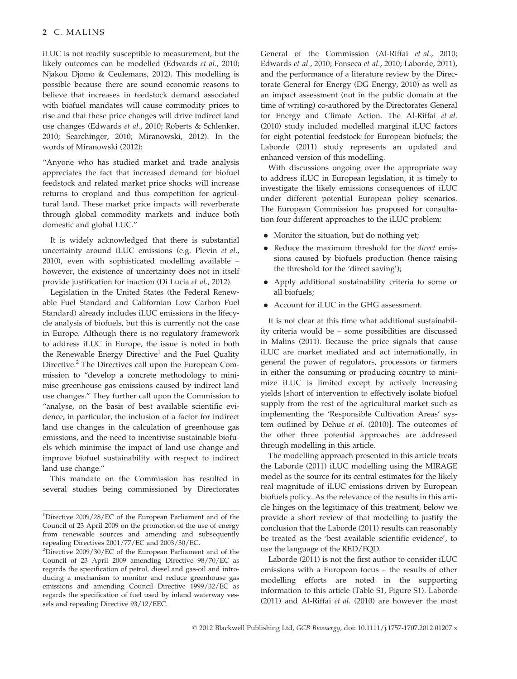iLUC is not readily susceptible to measurement, but the likely outcomes can be modelled (Edwards et al., 2010; Njakou Djomo & Ceulemans, 2012). This modelling is possible because there are sound economic reasons to believe that increases in feedstock demand associated with biofuel mandates will cause commodity prices to rise and that these price changes will drive indirect land use changes (Edwards et al., 2010; Roberts & Schlenker, 2010; Searchinger, 2010; Miranowski, 2012). In the words of Miranowski (2012):

"Anyone who has studied market and trade analysis appreciates the fact that increased demand for biofuel feedstock and related market price shocks will increase returns to cropland and thus competition for agricultural land. These market price impacts will reverberate through global commodity markets and induce both domestic and global LUC."

It is widely acknowledged that there is substantial uncertainty around iLUC emissions (e.g. Plevin et al., 2010), even with sophisticated modelling available – however, the existence of uncertainty does not in itself provide justification for inaction (Di Lucia et al., 2012).

Legislation in the United States (the Federal Renewable Fuel Standard and Californian Low Carbon Fuel Standard) already includes iLUC emissions in the lifecycle analysis of biofuels, but this is currently not the case in Europe. Although there is no regulatory framework to address iLUC in Europe, the issue is noted in both the Renewable Energy Directive<sup>1</sup> and the Fuel Quality Directive.<sup>2</sup> The Directives call upon the European Commission to "develop a concrete methodology to minimise greenhouse gas emissions caused by indirect land use changes." They further call upon the Commission to "analyse, on the basis of best available scientific evidence, in particular, the inclusion of a factor for indirect land use changes in the calculation of greenhouse gas emissions, and the need to incentivise sustainable biofuels which minimise the impact of land use change and improve biofuel sustainability with respect to indirect land use change."

This mandate on the Commission has resulted in several studies being commissioned by Directorates General of the Commission (Al-Riffai et al., 2010; Edwards et al., 2010; Fonseca et al., 2010; Laborde, 2011), and the performance of a literature review by the Directorate General for Energy (DG Energy, 2010) as well as an impact assessment (not in the public domain at the time of writing) co-authored by the Directorates General for Energy and Climate Action. The Al-Riffai et al. (2010) study included modelled marginal iLUC factors for eight potential feedstock for European biofuels; the Laborde (2011) study represents an updated and enhanced version of this modelling.

With discussions ongoing over the appropriate way to address iLUC in European legislation, it is timely to investigate the likely emissions consequences of iLUC under different potential European policy scenarios. The European Commission has proposed for consultation four different approaches to the iLUC problem:

- Monitor the situation, but do nothing yet;
- Reduce the maximum threshold for the *direct* emissions caused by biofuels production (hence raising the threshold for the 'direct saving');
- Apply additional sustainability criteria to some or all biofuels;
- Account for iLUC in the GHG assessment.

It is not clear at this time what additional sustainability criteria would be – some possibilities are discussed in Malins (2011). Because the price signals that cause iLUC are market mediated and act internationally, in general the power of regulators, processors or farmers in either the consuming or producing country to minimize iLUC is limited except by actively increasing yields [short of intervention to effectively isolate biofuel supply from the rest of the agricultural market such as implementing the 'Responsible Cultivation Areas' system outlined by Dehue et al. (2010)]. The outcomes of the other three potential approaches are addressed through modelling in this article.

The modelling approach presented in this article treats the Laborde (2011) iLUC modelling using the MIRAGE model as the source for its central estimates for the likely real magnitude of iLUC emissions driven by European biofuels policy. As the relevance of the results in this article hinges on the legitimacy of this treatment, below we provide a short review of that modelling to justify the conclusion that the Laborde (2011) results can reasonably be treated as the 'best available scientific evidence', to use the language of the RED/FQD.

Laborde (2011) is not the first author to consider iLUC emissions with a European focus – the results of other modelling efforts are noted in the supporting information to this article (Table S1, Figure S1). Laborde (2011) and Al-Riffai et al. (2010) are however the most

<sup>&</sup>lt;sup>1</sup>Directive 2009/28/EC of the European Parliament and of the Council of 23 April 2009 on the promotion of the use of energy from renewable sources and amending and subsequently repealing Directives 2001/77/EC and 2003/30/EC.

<sup>&</sup>lt;sup>2</sup>Directive 2009/30/EC of the European Parliament and of the Council of 23 April 2009 amending Directive 98/70/EC as regards the specification of petrol, diesel and gas-oil and introducing a mechanism to monitor and reduce greenhouse gas emissions and amending Council Directive 1999/32/EC as regards the specification of fuel used by inland waterway vessels and repealing Directive 93/12/EEC.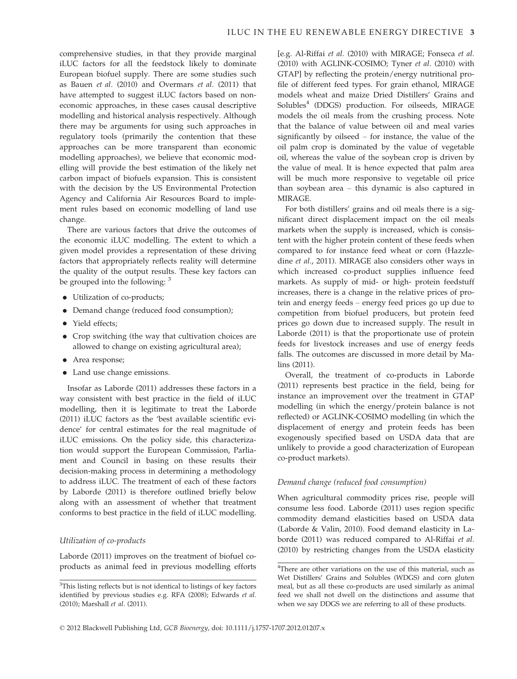comprehensive studies, in that they provide marginal iLUC factors for all the feedstock likely to dominate European biofuel supply. There are some studies such as Bauen et al. (2010) and Overmars et al. (2011) that have attempted to suggest iLUC factors based on noneconomic approaches, in these cases causal descriptive modelling and historical analysis respectively. Although there may be arguments for using such approaches in regulatory tools (primarily the contention that these approaches can be more transparent than economic modelling approaches), we believe that economic modelling will provide the best estimation of the likely net carbon impact of biofuels expansion. This is consistent with the decision by the US Environmental Protection Agency and California Air Resources Board to implement rules based on economic modelling of land use change.

There are various factors that drive the outcomes of the economic iLUC modelling. The extent to which a given model provides a representation of these driving factors that appropriately reflects reality will determine the quality of the output results. These key factors can be grouped into the following: <sup>3</sup>

- Utilization of co-products;
- Demand change (reduced food consumption);
- Yield effects;
- Crop switching (the way that cultivation choices are allowed to change on existing agricultural area);
- Area response;
- Land use change emissions.

Insofar as Laborde (2011) addresses these factors in a way consistent with best practice in the field of iLUC modelling, then it is legitimate to treat the Laborde (2011) iLUC factors as the 'best available scientific evidence' for central estimates for the real magnitude of iLUC emissions. On the policy side, this characterization would support the European Commission, Parliament and Council in basing on these results their decision-making process in determining a methodology to address iLUC. The treatment of each of these factors by Laborde (2011) is therefore outlined briefly below along with an assessment of whether that treatment conforms to best practice in the field of iLUC modelling.

# Utilization of co-products

Laborde (2011) improves on the treatment of biofuel coproducts as animal feed in previous modelling efforts [e.g. Al-Riffai et al. (2010) with MIRAGE; Fonseca et al. (2010) with AGLINK-COSIMO; Tyner et al. (2010) with GTAP] by reflecting the protein/energy nutritional profile of different feed types. For grain ethanol, MIRAGE models wheat and maize Dried Distillers' Grains and Solubles<sup>4</sup> (DDGS) production. For oilseeds, MIRAGE models the oil meals from the crushing process. Note that the balance of value between oil and meal varies significantly by oilseed – for instance, the value of the oil palm crop is dominated by the value of vegetable oil, whereas the value of the soybean crop is driven by the value of meal. It is hence expected that palm area will be much more responsive to vegetable oil price than soybean area – this dynamic is also captured in MIRAGE.

For both distillers' grains and oil meals there is a significant direct displacement impact on the oil meals markets when the supply is increased, which is consistent with the higher protein content of these feeds when compared to for instance feed wheat or corn (Hazzledine et al., 2011). MIRAGE also considers other ways in which increased co-product supplies influence feed markets. As supply of mid- or high- protein feedstuff increases, there is a change in the relative prices of protein and energy feeds – energy feed prices go up due to competition from biofuel producers, but protein feed prices go down due to increased supply. The result in Laborde (2011) is that the proportionate use of protein feeds for livestock increases and use of energy feeds falls. The outcomes are discussed in more detail by Malins (2011).

Overall, the treatment of co-products in Laborde (2011) represents best practice in the field, being for instance an improvement over the treatment in GTAP modelling (in which the energy/protein balance is not reflected) or AGLINK-COSIMO modelling (in which the displacement of energy and protein feeds has been exogenously specified based on USDA data that are unlikely to provide a good characterization of European co-product markets).

# Demand change (reduced food consumption)

When agricultural commodity prices rise, people will consume less food. Laborde (2011) uses region specific commodity demand elasticities based on USDA data (Laborde & Valin, 2010). Food demand elasticity in Laborde (2011) was reduced compared to Al-Riffai et al. (2010) by restricting changes from the USDA elasticity

<sup>&</sup>lt;sup>3</sup>This listing reflects but is not identical to listings of key factors identified by previous studies e.g. RFA (2008); Edwards et al. (2010); Marshall et al. (2011).

<sup>&</sup>lt;sup>4</sup>There are other variations on the use of this material, such as Wet Distillers' Grains and Solubles (WDGS) and corn gluten meal, but as all these co-products are used similarly as animal feed we shall not dwell on the distinctions and assume that when we say DDGS we are referring to all of these products.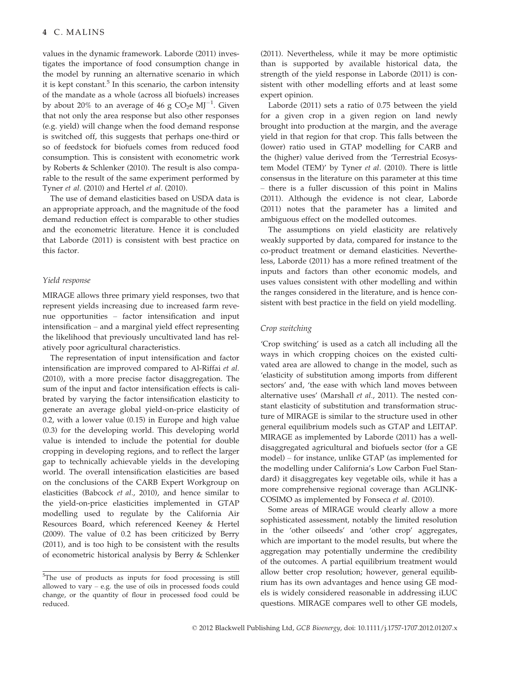values in the dynamic framework. Laborde (2011) investigates the importance of food consumption change in the model by running an alternative scenario in which it is kept constant. $5$  In this scenario, the carbon intensity of the mandate as a whole (across all biofuels) increases by about 20% to an average of 46 g  $CO_2e$  MJ<sup>-1</sup>. Given that not only the area response but also other responses (e.g. yield) will change when the food demand response is switched off, this suggests that perhaps one-third or so of feedstock for biofuels comes from reduced food consumption. This is consistent with econometric work by Roberts & Schlenker (2010). The result is also comparable to the result of the same experiment performed by Tyner et al. (2010) and Hertel et al. (2010).

The use of demand elasticities based on USDA data is an appropriate approach, and the magnitude of the food demand reduction effect is comparable to other studies and the econometric literature. Hence it is concluded that Laborde (2011) is consistent with best practice on this factor.

#### Yield response

MIRAGE allows three primary yield responses, two that represent yields increasing due to increased farm revenue opportunities – factor intensification and input intensification – and a marginal yield effect representing the likelihood that previously uncultivated land has relatively poor agricultural characteristics.

The representation of input intensification and factor intensification are improved compared to Al-Riffai et al. (2010), with a more precise factor disaggregation. The sum of the input and factor intensification effects is calibrated by varying the factor intensification elasticity to generate an average global yield-on-price elasticity of 0.2, with a lower value (0.15) in Europe and high value (0.3) for the developing world. This developing world value is intended to include the potential for double cropping in developing regions, and to reflect the larger gap to technically achievable yields in the developing world. The overall intensification elasticities are based on the conclusions of the CARB Expert Workgroup on elasticities (Babcock et al., 2010), and hence similar to the yield-on-price elasticities implemented in GTAP modelling used to regulate by the California Air Resources Board, which referenced Keeney & Hertel (2009). The value of 0.2 has been criticized by Berry (2011), and is too high to be consistent with the results of econometric historical analysis by Berry & Schlenker (2011). Nevertheless, while it may be more optimistic than is supported by available historical data, the strength of the yield response in Laborde (2011) is consistent with other modelling efforts and at least some expert opinion.

Laborde (2011) sets a ratio of 0.75 between the yield for a given crop in a given region on land newly brought into production at the margin, and the average yield in that region for that crop. This falls between the (lower) ratio used in GTAP modelling for CARB and the (higher) value derived from the 'Terrestrial Ecosystem Model (TEM)' by Tyner et al. (2010). There is little consensus in the literature on this parameter at this time – there is a fuller discussion of this point in Malins (2011). Although the evidence is not clear, Laborde (2011) notes that the parameter has a limited and ambiguous effect on the modelled outcomes.

The assumptions on yield elasticity are relatively weakly supported by data, compared for instance to the co-product treatment or demand elasticities. Nevertheless, Laborde (2011) has a more refined treatment of the inputs and factors than other economic models, and uses values consistent with other modelling and within the ranges considered in the literature, and is hence consistent with best practice in the field on yield modelling.

# Crop switching

'Crop switching' is used as a catch all including all the ways in which cropping choices on the existed cultivated area are allowed to change in the model, such as 'elasticity of substitution among imports from different sectors' and, 'the ease with which land moves between alternative uses' (Marshall et al., 2011). The nested constant elasticity of substitution and transformation structure of MIRAGE is similar to the structure used in other general equilibrium models such as GTAP and LEITAP. MIRAGE as implemented by Laborde (2011) has a welldisaggregated agricultural and biofuels sector (for a GE model) – for instance, unlike GTAP (as implemented for the modelling under California's Low Carbon Fuel Standard) it disaggregates key vegetable oils, while it has a more comprehensive regional coverage than AGLINK-COSIMO as implemented by Fonseca et al. (2010).

Some areas of MIRAGE would clearly allow a more sophisticated assessment, notably the limited resolution in the 'other oilseeds' and 'other crop' aggregates, which are important to the model results, but where the aggregation may potentially undermine the credibility of the outcomes. A partial equilibrium treatment would allow better crop resolution; however, general equilibrium has its own advantages and hence using GE models is widely considered reasonable in addressing iLUC questions. MIRAGE compares well to other GE models,

<sup>&</sup>lt;sup>5</sup>The use of products as inputs for food processing is still allowed to vary – e.g. the use of oils in processed foods could change, or the quantity of flour in processed food could be reduced.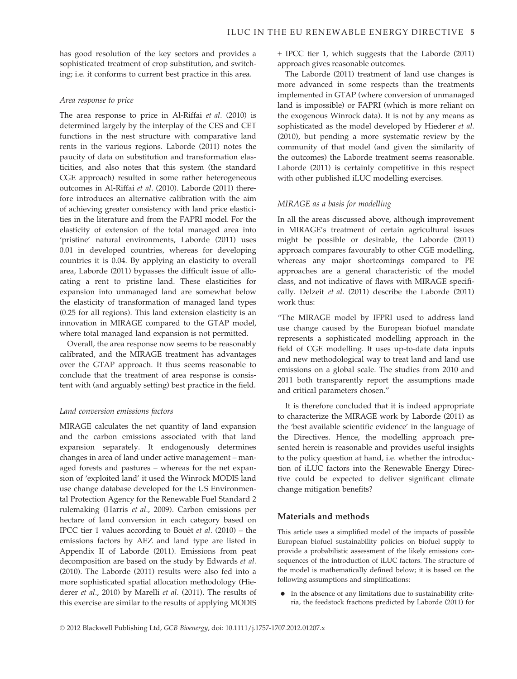has good resolution of the key sectors and provides a sophisticated treatment of crop substitution, and switching; i.e. it conforms to current best practice in this area.

#### Area response to price

The area response to price in Al-Riffai et al. (2010) is determined largely by the interplay of the CES and CET functions in the nest structure with comparative land rents in the various regions. Laborde (2011) notes the paucity of data on substitution and transformation elasticities, and also notes that this system (the standard CGE approach) resulted in some rather heterogeneous outcomes in Al-Riffai et al. (2010). Laborde (2011) therefore introduces an alternative calibration with the aim of achieving greater consistency with land price elasticities in the literature and from the FAPRI model. For the elasticity of extension of the total managed area into 'pristine' natural environments, Laborde (2011) uses 0.01 in developed countries, whereas for developing countries it is 0.04. By applying an elasticity to overall area, Laborde (2011) bypasses the difficult issue of allocating a rent to pristine land. These elasticities for expansion into unmanaged land are somewhat below the elasticity of transformation of managed land types (0.25 for all regions). This land extension elasticity is an innovation in MIRAGE compared to the GTAP model, where total managed land expansion is not permitted.

Overall, the area response now seems to be reasonably calibrated, and the MIRAGE treatment has advantages over the GTAP approach. It thus seems reasonable to conclude that the treatment of area response is consistent with (and arguably setting) best practice in the field.

# Land conversion emissions factors

MIRAGE calculates the net quantity of land expansion and the carbon emissions associated with that land expansion separately. It endogenously determines changes in area of land under active management – managed forests and pastures – whereas for the net expansion of 'exploited land' it used the Winrock MODIS land use change database developed for the US Environmental Protection Agency for the Renewable Fuel Standard 2 rulemaking (Harris et al., 2009). Carbon emissions per hectare of land conversion in each category based on IPCC tier 1 values according to Bouët et al.  $(2010)$  – the emissions factors by AEZ and land type are listed in Appendix II of Laborde (2011). Emissions from peat decomposition are based on the study by Edwards et al. (2010). The Laborde (2011) results were also fed into a more sophisticated spatial allocation methodology (Hiederer et al., 2010) by Marelli et al. (2011). The results of this exercise are similar to the results of applying MODIS + IPCC tier 1, which suggests that the Laborde (2011) approach gives reasonable outcomes.

The Laborde (2011) treatment of land use changes is more advanced in some respects than the treatments implemented in GTAP (where conversion of unmanaged land is impossible) or FAPRI (which is more reliant on the exogenous Winrock data). It is not by any means as sophisticated as the model developed by Hiederer et al. (2010), but pending a more systematic review by the community of that model (and given the similarity of the outcomes) the Laborde treatment seems reasonable. Laborde (2011) is certainly competitive in this respect with other published iLUC modelling exercises.

# MIRAGE as a basis for modelling

In all the areas discussed above, although improvement in MIRAGE's treatment of certain agricultural issues might be possible or desirable, the Laborde (2011) approach compares favourably to other CGE modelling, whereas any major shortcomings compared to PE approaches are a general characteristic of the model class, and not indicative of flaws with MIRAGE specifically. Delzeit et al. (2011) describe the Laborde (2011) work thus:

"The MIRAGE model by IFPRI used to address land use change caused by the European biofuel mandate represents a sophisticated modelling approach in the field of CGE modelling. It uses up-to-date data inputs and new methodological way to treat land and land use emissions on a global scale. The studies from 2010 and 2011 both transparently report the assumptions made and critical parameters chosen."

It is therefore concluded that it is indeed appropriate to characterize the MIRAGE work by Laborde (2011) as the 'best available scientific evidence' in the language of the Directives. Hence, the modelling approach presented herein is reasonable and provides useful insights to the policy question at hand, i.e. whether the introduction of iLUC factors into the Renewable Energy Directive could be expected to deliver significant climate change mitigation benefits?

# Materials and methods

This article uses a simplified model of the impacts of possible European biofuel sustainability policies on biofuel supply to provide a probabilistic assessment of the likely emissions consequences of the introduction of iLUC factors. The structure of the model is mathematically defined below; it is based on the following assumptions and simplifications:

● In the absence of any limitations due to sustainability criteria, the feedstock fractions predicted by Laborde (2011) for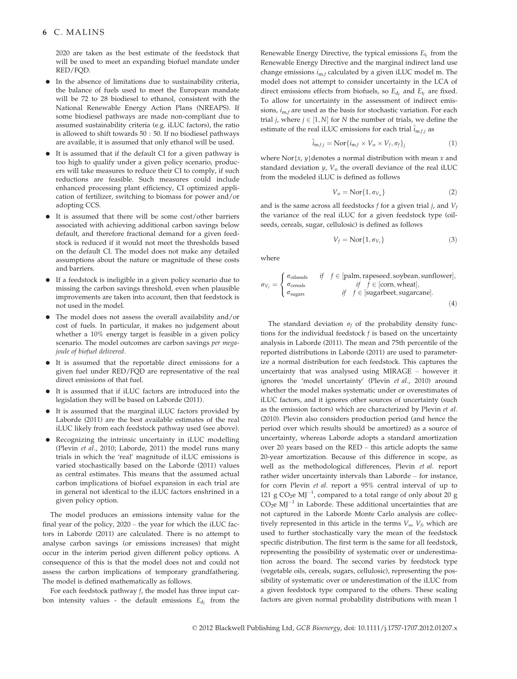2020 are taken as the best estimate of the feedstock that will be used to meet an expanding biofuel mandate under RED/FQD.

- In the absence of limitations due to sustainability criteria, the balance of fuels used to meet the European mandate will be 72 to 28 biodiesel to ethanol, consistent with the National Renewable Energy Action Plans (NREAPS). If some biodiesel pathways are made non-compliant due to assumed sustainability criteria (e.g. iLUC factors), the ratio is allowed to shift towards 50 : 50. If no biodiesel pathways are available, it is assumed that only ethanol will be used.
- It is assumed that if the default CI for a given pathway is too high to qualify under a given policy scenario, producers will take measures to reduce their CI to comply, if such reductions are feasible. Such measures could include enhanced processing plant efficiency, CI optimized application of fertilizer, switching to biomass for power and/or adopting CCS.
- It is assumed that there will be some cost/other barriers associated with achieving additional carbon savings below default, and therefore fractional demand for a given feedstock is reduced if it would not meet the thresholds based on the default CI. The model does not make any detailed assumptions about the nature or magnitude of these costs and barriers.
- If a feedstock is ineligible in a given policy scenario due to missing the carbon savings threshold, even when plausible improvements are taken into account, then that feedstock is not used in the model.
- The model does not assess the overall availability and/or cost of fuels. In particular, it makes no judgement about whether a 10% energy target is feasible in a given policy scenario. The model outcomes are carbon savings per megajoule of biofuel delivered.
- It is assumed that the reportable direct emissions for a given fuel under RED/FQD are representative of the real direct emissions of that fuel.
- It is assumed that if iLUC factors are introduced into the legislation they will be based on Laborde (2011).
- It is assumed that the marginal iLUC factors provided by Laborde (2011) are the best available estimates of the real iLUC likely from each feedstock pathway used (see above).
- Recognizing the intrinsic uncertainty in iLUC modelling (Plevin et al., 2010; Laborde, 2011) the model runs many trials in which the 'real' magnitude of iLUC emissions is varied stochastically based on the Laborde (2011) values as central estimates. This means that the assumed actual carbon implications of biofuel expansion in each trial are in general not identical to the iLUC factors enshrined in a given policy option.

The model produces an emissions intensity value for the final year of the policy, 2020 – the year for which the iLUC factors in Laborde (2011) are calculated. There is no attempt to analyse carbon savings (or emissions increases) that might occur in the interim period given different policy options. A consequence of this is that the model does not and could not assess the carbon implications of temporary grandfathering. The model is defined mathematically as follows.

For each feedstock pathway  $f$ , the model has three input carbon intensity values - the default emissions  $E_{d_f}$  from the

Renewable Energy Directive, the typical emissions  $E_t$  from the Renewable Energy Directive and the marginal indirect land use change emissions  $i_{m,f}$  calculated by a given iLUC model m. The model does not attempt to consider uncertainty in the LCA of direct emissions effects from biofuels, so  $E_{d_f}$  and  $E_{t_f}$  are fixed. To allow for uncertainty in the assessment of indirect emissions,  $i_{\text{m.f}}$  are used as the basis for stochastic variation. For each trial *j*, where  $j \in [1, N]$  for *N* the number of trials, we define the estimate of the real iLUC emissions for each trial  $\tilde{i}_{m,f,j}$  as

$$
\tilde{i}_{\mathbf{m},f,j} = \mathbf{Nor}\{i_{\mathbf{m},f} \times V_{\mathbf{o}} \times V_f, \sigma_f\}_j
$$
\n(1)

where Nor $\{x, y\}$  denotes a normal distribution with mean x and standard deviation  $\psi$ ,  $V_0$  the overall deviance of the real iLUC from the modeled iLUC is defined as follows

$$
V_o = \text{Nor}\{1, \sigma_{V_o}\}\tag{2}
$$

and is the same across all feedstocks f for a given trial j, and  $V_f$ the variance of the real iLUC for a given feedstock type (oilseeds, cereals, sugar, cellulosic) is defined as follows

$$
V_f = \text{Nor}\{1, \sigma_{V_f}\}\tag{3}
$$

where

$$
\sigma_{V_f} = \begin{cases} \sigma_{\text{oilseeds}} & \text{if } f \in [\text{palm, rapeseed, soybean, sunflower}], \\ \sigma_{\text{cereals}} & \text{if } f \in [\text{corn, wheat}], \\ \sigma_{\text{sugars}} & \text{if } f \in [\text{sugarbeet, sugarcane}]. \end{cases} \tag{4}
$$

The standard deviation  $\sigma_f$  of the probability density functions for the individual feedstock  $f$  is based on the uncertainty analysis in Laborde (2011). The mean and 75th percentile of the reported distributions in Laborde (2011) are used to parameterize a normal distribution for each feedstock. This captures the uncertainty that was analysed using MIRAGE – however it ignores the 'model uncertainty' (Plevin et al., 2010) around whether the model makes systematic under or overestimates of iLUC factors, and it ignores other sources of uncertainty (such as the emission factors) which are characterized by Plevin et al. (2010). Plevin also considers production period (and hence the period over which results should be amortized) as a source of uncertainty, whereas Laborde adopts a standard amortization over 20 years based on the RED – this article adopts the same 20-year amortization. Because of this difference in scope, as well as the methodological differences, Plevin et al. report rather wider uncertainty intervals than Laborde – for instance, for corn Plevin et al. report a 95% central interval of up to 121 g CO<sub>2</sub>e MJ<sup>-1</sup>, compared to a total range of only about 20 g  $CO<sub>2</sub>e MJ<sup>-1</sup>$  in Laborde. These additional uncertainties that are not captured in the Laborde Monte Carlo analysis are collectively represented in this article in the terms  $V<sub>o</sub>, V<sub>f</sub>$ , which are used to further stochastically vary the mean of the feedstock specific distribution. The first term is the same for all feedstock, representing the possibility of systematic over or underestimation across the board. The second varies by feedstock type (vegetable oils, cereals, sugars, cellulosic), representing the possibility of systematic over or underestimation of the iLUC from a given feedstock type compared to the others. These scaling factors are given normal probability distributions with mean 1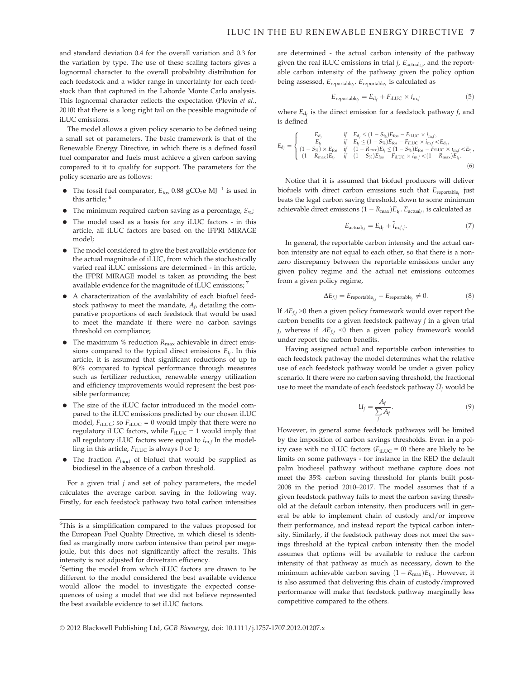and standard deviation 0.4 for the overall variation and 0.3 for the variation by type. The use of these scaling factors gives a lognormal character to the overall probability distribution for each feedstock and a wider range in uncertainty for each feedstock than that captured in the Laborde Monte Carlo analysis. This lognormal character reflects the expectation (Plevin et al., 2010) that there is a long right tail on the possible magnitude of iLUC emissions.

The model allows a given policy scenario to be defined using a small set of parameters. The basic framework is that of the Renewable Energy Directive, in which there is a defined fossil fuel comparator and fuels must achieve a given carbon saving compared to it to qualify for support. The parameters for the policy scenario are as follows:

- The fossil fuel comparator,  $E_{\text{fos}}$  0.88 gCO<sub>2</sub>e MJ<sup>-1</sup> is used in this article: <sup>6</sup>
- The minimum required carbon saving as a percentage,  $S_{\%}$ ;
- The model used as a basis for any iLUC factors in this article, all iLUC factors are based on the IFPRI MIRAGE model;
- The model considered to give the best available evidence for the actual magnitude of iLUC, from which the stochastically varied real iLUC emissions are determined - in this article, the IFPRI MIRAGE model is taken as providing the best available evidence for the magnitude of iLUC emissions;<sup>7</sup>
- A characterization of the availability of each biofuel feedstock pathway to meet the mandate,  $A_f$ , detailing the comparative proportions of each feedstock that would be used to meet the mandate if there were no carbon savings threshold on compliance;
- The maximum % reduction  $R_{\text{max}}$  achievable in direct emissions compared to the typical direct emissions  $E_t$ . In this article, it is assumed that significant reductions of up to 80% compared to typical performance through measures such as fertilizer reduction, renewable energy utilization and efficiency improvements would represent the best possible performance;
- The size of the iLUC factor introduced in the model compared to the iLUC emissions predicted by our chosen iLUC model,  $F_{\text{iLUC}}$ ; so  $F_{\text{iLUC}} = 0$  would imply that there were no regulatory iLUC factors, while  $F_{\text{iLUC}} = 1$  would imply that all regulatory iLUC factors were equal to  $i_{m,f}$  In the modelling in this article,  $F_{\text{iLUC}}$  is always 0 or 1;
- The fraction  $P_{\text{biod}}$  of biofuel that would be supplied as biodiesel in the absence of a carbon threshold.

For a given trial  $j$  and set of policy parameters, the model calculates the average carbon saving in the following way. Firstly, for each feedstock pathway two total carbon intensities are determined - the actual carbon intensity of the pathway given the real iLUC emissions in trial *j*,  $E_{\text{actual}_{i,j}}$ , and the reportable carbon intensity of the pathway given the policy option being assessed,  $E_{\text{reportable}_f}$ .  $E_{\text{reportable}_f}$  is calculated as

$$
E_{\text{reportable}_f} = E_{\text{d}_f} + F_{\text{iLUC}} \times i_{\text{m},f} \tag{5}
$$

where  $E_{d_f}$  is the direct emission for a feedstock pathway f, and is defined

$$
E_{d_f} = \begin{cases} E_{d_f} & \text{if} \quad E_{d_f} \leq (1 - S_{\%}) E_{f \text{cos}} - F_{i \text{LUC}} \times i_{m_f}, \\ E_{t_f} & \text{if} \quad E_{t_f} \leq (1 - S_{\%}) E_{f \text{cos}} - F_{i \text{LUC}} \times i_{m_f} \lt E_{d_f}, \\ (1 - S_{\%}) \times E_{f \text{cos}} & \text{if} \quad (1 - R_{max}) E_{t_f} \leq (1 - S_{\%}) E_{f \text{cos}} - F_{i \text{LUC}} \times i_{m_f} \lt (1 - R_{max}) E_{t_f}, \\ (1 - R_{max}) E_{t_f} & \text{if} \quad (1 - S_{\%}) E_{f \text{cos}} - F_{i \text{LUC}} \times i_{m_f} \lt (1 - R_{max}) E_{t_f}. \end{cases} \tag{6}
$$

Notice that it is assumed that biofuel producers will deliver biofuels with direct carbon emissions such that  $E_{\text{reportable}_i}$  just beats the legal carbon saving threshold, down to some minimum achievable direct emissions  $(1 - R_{\text{max}})E_t$ . E<sub>actual<sub>í</sub>, is calculated as</sub>

$$
E_{\text{actual}_{f,j}} = E_{\text{d}_f} + \tilde{i}_{\text{m},f,j}.
$$
 (7)

In general, the reportable carbon intensity and the actual carbon intensity are not equal to each other, so that there is a nonzero discrepancy between the reportable emissions under any given policy regime and the actual net emissions outcomes from a given policy regime,

$$
\Delta E_{f,j} = E_{\text{reportable}_{f,j}} - E_{\text{reportable}_{f}} \neq 0. \tag{8}
$$

If  $\Delta E_{f,i}$  >0 then a given policy framework would over report the carbon benefits for a given feedstock pathway  $f$  in a given trial j, whereas if  $\Delta E_{f,j}$  <0 then a given policy framework would under report the carbon benefits.

Having assigned actual and reportable carbon intensities to each feedstock pathway the model determines what the relative use of each feedstock pathway would be under a given policy scenario. If there were no carbon saving threshold, the fractional use to meet the mandate of each feedstock pathway  $\tilde{U}_f$  would be

$$
U_f = \frac{A_f}{\sum_f A_f}.\tag{9}
$$

However, in general some feedstock pathways will be limited by the imposition of carbon savings thresholds. Even in a policy case with no iLUC factors  $(F_{\text{iLUC}} = 0)$  there are likely to be limits on some pathways - for instance in the RED the default palm biodiesel pathway without methane capture does not meet the 35% carbon saving threshold for plants built post-2008 in the period 2010–2017. The model assumes that if a given feedstock pathway fails to meet the carbon saving threshold at the default carbon intensity, then producers will in general be able to implement chain of custody and/or improve their performance, and instead report the typical carbon intensity. Similarly, if the feedstock pathway does not meet the savings threshold at the typical carbon intensity then the model assumes that options will be available to reduce the carbon intensity of that pathway as much as necessary, down to the minimum achievable carbon saving  $(1 - R_{\text{max}})E_t$ . However, it is also assumed that delivering this chain of custody/improved performance will make that feedstock pathway marginally less competitive compared to the others.

<sup>&</sup>lt;sup>6</sup>This is a simplification compared to the values proposed for the European Fuel Quality Directive, in which diesel is identified as marginally more carbon intensive than petrol per megajoule, but this does not significantly affect the results. This intensity is not adjusted for drivetrain efficiency.

<sup>&</sup>lt;sup>7</sup>Setting the model from which iLUC factors are drawn to be different to the model considered the best available evidence would allow the model to investigate the expected consequences of using a model that we did not believe represented the best available evidence to set iLUC factors.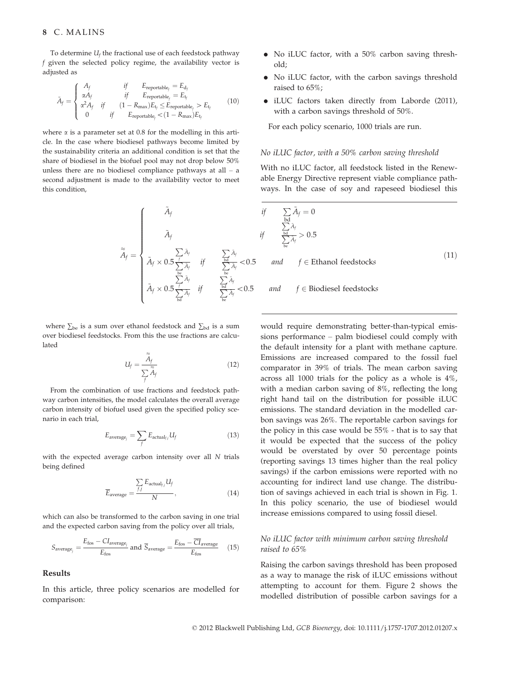To determine  $U_f$  the fractional use of each feedstock pathway f given the selected policy regime, the availability vector is adjusted as

$$
\tilde{A}_{f} = \begin{cases}\nA_{f} & if \quad \text{Ereportable}_{f} = E_{d_{f}} \\
\alpha A_{f} & if \quad \text{Ereportable}_{f} = E_{t_{f}} \\
\alpha^{2} A_{f} & if \quad (1 - R_{\text{max}}) E_{t_{f}} \leq E_{\text{reportable}_{f}} > E_{t_{f}} \\
0 & if \quad \text{Ereportable}_{f} < (1 - R_{\text{max}}) E_{t_{f}}\n\end{cases}
$$
\n(10)

where  $\alpha$  is a parameter set at 0.8 for the modelling in this article. In the case where biodiesel pathways become limited by the sustainability criteria an additional condition is set that the share of biodiesel in the biofuel pool may not drop below 50% unless there are no biodiesel compliance pathways at all – a second adjustment is made to the availability vector to meet this condition,

$$
\tilde{A}_f = \begin{cases}\n\tilde{A}_f & \text{if } \sum_{\text{bd}} \\
\tilde{A}_f & \text{if } \sum_{\text{bc}} \\
\tilde{A}_f \times 0.5 \frac{f}{\sum_{\text{bc}} \tilde{A}_f} & \text{if } \sum_{\text{bc}} \tilde{A}_f < 0.5 \\
\tilde{A}_f \times 0.5 \frac{f}{\sum_{\text{bd}} \tilde{A}_f} & \text{if } \sum_{\text{bc}} \tilde{A}_f < 0.5\n\end{cases}
$$
 and 
$$
\tilde{A}_f \times 0.5 \frac{f}{\sum_{\text{bd}} \tilde{A}_f} & \text{if } \sum_{\text{bc}} \tilde{A}_f < 0.5
$$
 and

where  $\sum_{\text{be}}$  is a sum over ethanol feedstock and  $\sum_{\text{bd}}$  is a sum over biodiesel feedstocks. From this the use fractions are calculated

$$
U_f = \frac{\tilde{A}_f}{\sum_{f} \tilde{A}_f} \tag{12}
$$

From the combination of use fractions and feedstock pathway carbon intensities, the model calculates the overall average carbon intensity of biofuel used given the specified policy scenario in each trial,

$$
E_{\text{average}_j} = \sum_{f} E_{\text{actual}_{f,j}} U_f \tag{13}
$$

with the expected average carbon intensity over all N trials being defined

$$
\overline{E}_{\text{average}} = \frac{\sum_{f,j} E_{\text{actual}_{j,j}} U_f}{N}, \qquad (14)
$$

which can also be transformed to the carbon saving in one trial and the expected carbon saving from the policy over all trials,

$$
S_{\text{average}_j} = \frac{E_{\text{fos}} - C I_{\text{average}}}{E_{\text{fos}}}
$$
 and  $\overline{S}_{\text{average}} = \frac{E_{\text{fos}} - \overline{CI}_{\text{average}}}{E_{\text{fos}}}$  (15)

### Results

In this article, three policy scenarios are modelled for comparison:

- No iLUC factor, with a 50% carbon saving threshold;
- No iLUC factor, with the carbon savings threshold raised to 65%;
- iLUC factors taken directly from Laborde (2011), with a carbon savings threshold of 50%.

For each policy scenario, 1000 trials are run.

#### No iLUC factor, with a 50% carbon saving threshold

With no iLUC factor, all feedstock listed in the Renewable Energy Directive represent viable compliance pathways. In the case of soy and rapeseed biodiesel this

$$
if \sum_{\substack{\text{bd} \\ \sum_{\text{be}}} \tilde{A}_f = 0
$$
  

$$
if \sum_{\substack{\sum \text{bd} \\ \sum_{\text{be}}} \tilde{A}_f} > 0.5
$$
  
<0.5 and  $f \in \text{Ethanol feedbacks}$  (11)

$$
< 0.5
$$
 and  $f \in$  Biodiesel feedstocks

would require demonstrating better-than-typical emissions performance – palm biodiesel could comply with the default intensity for a plant with methane capture. Emissions are increased compared to the fossil fuel comparator in 39% of trials. The mean carbon saving across all 1000 trials for the policy as a whole is 4%, with a median carbon saving of 8%, reflecting the long right hand tail on the distribution for possible iLUC emissions. The standard deviation in the modelled carbon savings was 26%. The reportable carbon savings for the policy in this case would be 55% - that is to say that it would be expected that the success of the policy would be overstated by over 50 percentage points (reporting savings 13 times higher than the real policy savings) if the carbon emissions were reported with no accounting for indirect land use change. The distribution of savings achieved in each trial is shown in Fig. 1. In this policy scenario, the use of biodiesel would increase emissions compared to using fossil diesel.

# No iLUC factor with minimum carbon saving threshold raised to 65%

Raising the carbon savings threshold has been proposed as a way to manage the risk of iLUC emissions without attempting to account for them. Figure 2 shows the modelled distribution of possible carbon savings for a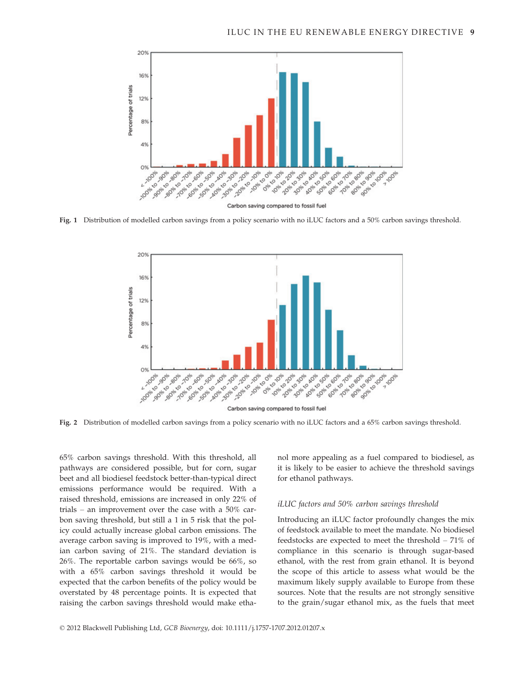

Fig. 1 Distribution of modelled carbon savings from a policy scenario with no iLUC factors and a 50% carbon savings threshold.



Fig. 2 Distribution of modelled carbon savings from a policy scenario with no iLUC factors and a 65% carbon savings threshold.

65% carbon savings threshold. With this threshold, all pathways are considered possible, but for corn, sugar beet and all biodiesel feedstock better-than-typical direct emissions performance would be required. With a raised threshold, emissions are increased in only 22% of trials – an improvement over the case with a 50% carbon saving threshold, but still a 1 in 5 risk that the policy could actually increase global carbon emissions. The average carbon saving is improved to 19%, with a median carbon saving of 21%. The standard deviation is 26%. The reportable carbon savings would be 66%, so with a 65% carbon savings threshold it would be expected that the carbon benefits of the policy would be overstated by 48 percentage points. It is expected that raising the carbon savings threshold would make ethanol more appealing as a fuel compared to biodiesel, as it is likely to be easier to achieve the threshold savings for ethanol pathways.

#### iLUC factors and 50% carbon savings threshold

Introducing an iLUC factor profoundly changes the mix of feedstock available to meet the mandate. No biodiesel feedstocks are expected to meet the threshold – 71% of compliance in this scenario is through sugar-based ethanol, with the rest from grain ethanol. It is beyond the scope of this article to assess what would be the maximum likely supply available to Europe from these sources. Note that the results are not strongly sensitive to the grain/sugar ethanol mix, as the fuels that meet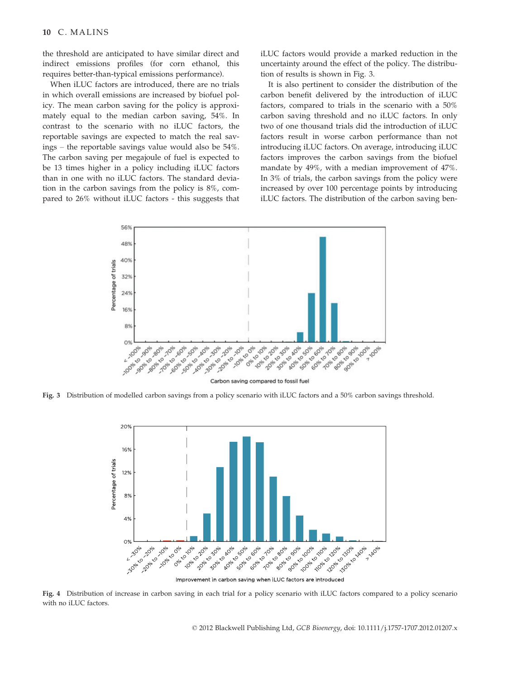the threshold are anticipated to have similar direct and indirect emissions profiles (for corn ethanol, this requires better-than-typical emissions performance).

When iLUC factors are introduced, there are no trials in which overall emissions are increased by biofuel policy. The mean carbon saving for the policy is approximately equal to the median carbon saving, 54%. In contrast to the scenario with no iLUC factors, the reportable savings are expected to match the real savings – the reportable savings value would also be 54%. The carbon saving per megajoule of fuel is expected to be 13 times higher in a policy including iLUC factors than in one with no iLUC factors. The standard deviation in the carbon savings from the policy is 8%, compared to 26% without iLUC factors - this suggests that iLUC factors would provide a marked reduction in the uncertainty around the effect of the policy. The distribution of results is shown in Fig. 3.

It is also pertinent to consider the distribution of the carbon benefit delivered by the introduction of iLUC factors, compared to trials in the scenario with a 50% carbon saving threshold and no iLUC factors. In only two of one thousand trials did the introduction of iLUC factors result in worse carbon performance than not introducing iLUC factors. On average, introducing iLUC factors improves the carbon savings from the biofuel mandate by 49%, with a median improvement of 47%. In 3% of trials, the carbon savings from the policy were increased by over 100 percentage points by introducing iLUC factors. The distribution of the carbon saving ben-



Fig. 3 Distribution of modelled carbon savings from a policy scenario with iLUC factors and a 50% carbon savings threshold.



Improvement in carbon saving when iLUC factors are introduced

Fig. 4 Distribution of increase in carbon saving in each trial for a policy scenario with iLUC factors compared to a policy scenario with no iLUC factors.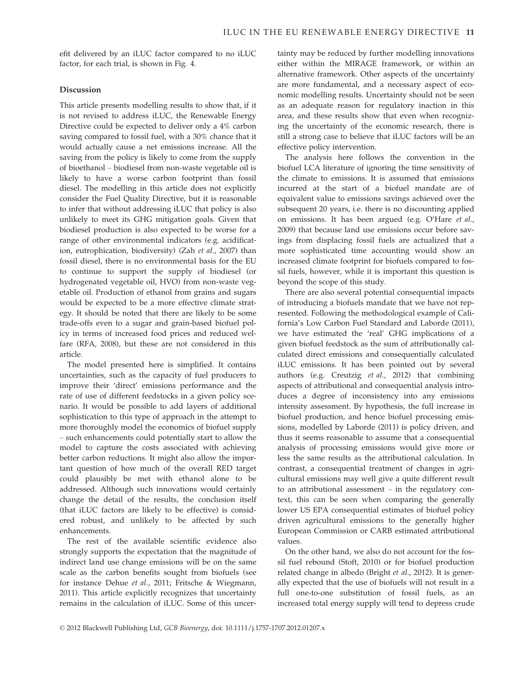efit delivered by an iLUC factor compared to no iLUC factor, for each trial, is shown in Fig. 4.

#### Discussion

This article presents modelling results to show that, if it is not revised to address iLUC, the Renewable Energy Directive could be expected to deliver only a 4% carbon saving compared to fossil fuel, with a 30% chance that it would actually cause a net emissions increase. All the saving from the policy is likely to come from the supply of bioethanol – biodiesel from non-waste vegetable oil is likely to have a worse carbon footprint than fossil diesel. The modelling in this article does not explicitly consider the Fuel Quality Directive, but it is reasonable to infer that without addressing iLUC that policy is also unlikely to meet its GHG mitigation goals. Given that biodiesel production is also expected to be worse for a range of other environmental indicators (e.g. acidification, eutrophication, biodiversity) (Zah et al., 2007) than fossil diesel, there is no environmental basis for the EU to continue to support the supply of biodiesel (or hydrogenated vegetable oil, HVO) from non-waste vegetable oil. Production of ethanol from grains and sugars would be expected to be a more effective climate strategy. It should be noted that there are likely to be some trade-offs even to a sugar and grain-based biofuel policy in terms of increased food prices and reduced welfare (RFA, 2008), but these are not considered in this article.

The model presented here is simplified. It contains uncertainties, such as the capacity of fuel producers to improve their 'direct' emissions performance and the rate of use of different feedstocks in a given policy scenario. It would be possible to add layers of additional sophistication to this type of approach in the attempt to more thoroughly model the economics of biofuel supply – such enhancements could potentially start to allow the model to capture the costs associated with achieving better carbon reductions. It might also allow the important question of how much of the overall RED target could plausibly be met with ethanol alone to be addressed. Although such innovations would certainly change the detail of the results, the conclusion itself (that iLUC factors are likely to be effective) is considered robust, and unlikely to be affected by such enhancements.

The rest of the available scientific evidence also strongly supports the expectation that the magnitude of indirect land use change emissions will be on the same scale as the carbon benefits sought from biofuels (see for instance Dehue et al., 2011; Fritsche & Wiegmann, 2011). This article explicitly recognizes that uncertainty remains in the calculation of iLUC. Some of this uncertainty may be reduced by further modelling innovations either within the MIRAGE framework, or within an alternative framework. Other aspects of the uncertainty are more fundamental, and a necessary aspect of economic modelling results. Uncertainty should not be seen as an adequate reason for regulatory inaction in this area, and these results show that even when recognizing the uncertainty of the economic research, there is still a strong case to believe that iLUC factors will be an effective policy intervention.

The analysis here follows the convention in the biofuel LCA literature of ignoring the time sensitivity of the climate to emissions. It is assumed that emissions incurred at the start of a biofuel mandate are of equivalent value to emissions savings achieved over the subsequent 20 years, i.e. there is no discounting applied on emissions. It has been argued (e.g. O'Hare et al., 2009) that because land use emissions occur before savings from displacing fossil fuels are actualized that a more sophisticated time accounting would show an increased climate footprint for biofuels compared to fossil fuels, however, while it is important this question is beyond the scope of this study.

There are also several potential consequential impacts of introducing a biofuels mandate that we have not represented. Following the methodological example of California's Low Carbon Fuel Standard and Laborde (2011), we have estimated the 'real' GHG implications of a given biofuel feedstock as the sum of attributionally calculated direct emissions and consequentially calculated iLUC emissions. It has been pointed out by several authors (e.g. Creutzig et al., 2012) that combining aspects of attributional and consequential analysis introduces a degree of inconsistency into any emissions intensity assessment. By hypothesis, the full increase in biofuel production, and hence biofuel processing emissions, modelled by Laborde (2011) is policy driven, and thus it seems reasonable to assume that a consequential analysis of processing emissions would give more or less the same results as the attributional calculation. In contrast, a consequential treatment of changes in agricultural emissions may well give a quite different result to an attributional assessment – in the regulatory context, this can be seen when comparing the generally lower US EPA consequential estimates of biofuel policy driven agricultural emissions to the generally higher European Commission or CARB estimated attributional values.

On the other hand, we also do not account for the fossil fuel rebound (Stoft, 2010) or for biofuel production related change in albedo (Bright et al., 2012). It is generally expected that the use of biofuels will not result in a full one-to-one substitution of fossil fuels, as an increased total energy supply will tend to depress crude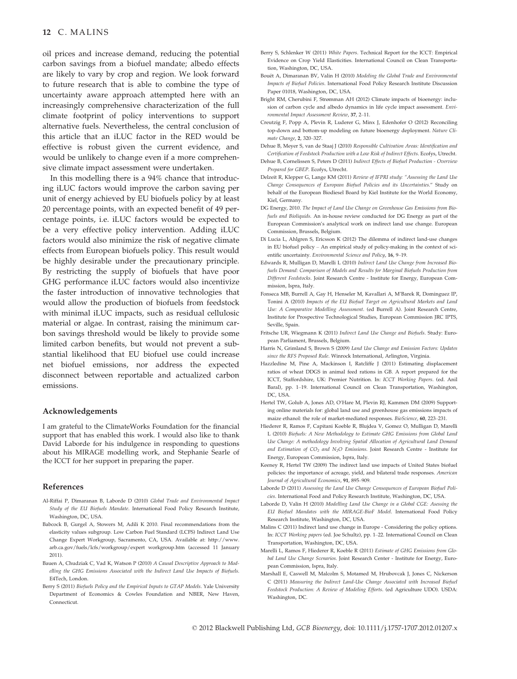oil prices and increase demand, reducing the potential carbon savings from a biofuel mandate; albedo effects are likely to vary by crop and region. We look forward to future research that is able to combine the type of uncertainty aware approach attempted here with an increasingly comprehensive characterization of the full climate footprint of policy interventions to support alternative fuels. Nevertheless, the central conclusion of this article that an iLUC factor in the RED would be effective is robust given the current evidence, and would be unlikely to change even if a more comprehensive climate impact assessment were undertaken.

In this modelling there is a 94% chance that introducing iLUC factors would improve the carbon saving per unit of energy achieved by EU biofuels policy by at least 20 percentage points, with an expected benefit of 49 percentage points, i.e. iLUC factors would be expected to be a very effective policy intervention. Adding iLUC factors would also minimize the risk of negative climate effects from European biofuels policy. This result would be highly desirable under the precautionary principle. By restricting the supply of biofuels that have poor GHG performance iLUC factors would also incentivize the faster introduction of innovative technologies that would allow the production of biofuels from feedstock with minimal iLUC impacts, such as residual cellulosic material or algae. In contrast, raising the minimum carbon savings threshold would be likely to provide some limited carbon benefits, but would not prevent a substantial likelihood that EU biofuel use could increase net biofuel emissions, nor address the expected disconnect between reportable and actualized carbon emissions.

#### Acknowledgements

I am grateful to the ClimateWorks Foundation for the financial support that has enabled this work. I would also like to thank David Laborde for his indulgence in responding to questions about his MIRAGE modelling work, and Stephanie Searle of the ICCT for her support in preparing the paper.

#### References

- Al-Riffai P, Dimaranan B, Laborde D (2010) Global Trade and Environmental Impact Study of the EU Biofuels Mandate. International Food Policy Research Institute, Washington, DC, USA.
- Babcock B, Gurgel A, Stowers M, Adili K 2010. Final recommendations from the elasticity values subgroup. Low Carbon Fuel Standard (LCFS) Indirect Land Use Change Expert Workgroup, Sacramento, CA, USA. Available at: http://www. arb.ca.gov/fuels/lcfs/workgroup/expert workgroup.htm (accessed 11 January 2011).
- Bauen A, Chudziak C, Vad K, Watson P (2010) A Causal Descriptive Approach to Modelling the GHG Emissions Associated with the Indirect Land Use Impacts of Biofuels. E4Tech, London.
- Berry S (2011) Biofuels Policy and the Empirical Inputs to GTAP Models. Yale University Department of Economics & Cowles Foundation and NBER, New Haven, Connecticut.
- Berry S, Schlenker W (2011) White Papers. Technical Report for the ICCT: Empirical Evidence on Crop Yield Elasticities. International Council on Clean Transportation, Washington, DC, USA.
- Bouët A, Dimaranan BV, Valin H (2010) Modeling the Global Trade and Environmental Impacts of Biofuel Policies. International Food Policy Research Institute Discussion Paper 01018, Washington, DC, USA.
- Bright RM, Cherubini F, Strømman AH (2012) Climate impacts of bioenergy: inclusion of carbon cycle and albedo dynamics in life cycle impact assessment. Environmental Impact Assessment Review, 37, 2–11.
- Creutzig F, Popp A, Plevin R, Luderer G, Minx J, Edenhofer O (2012) Reconciling top-down and bottom-up modeling on future bioenergy deployment. Nature Climate Change, 2, 320–327.
- Dehue B, Meyer S, van de Staaj J (2010) Responsible Cultivation Areas: Identification and Certification of Feedstock Production with a Low Risk of Indirect Effects. Ecofys, Utrecht.
- Dehue B, Cornelissen S, Peters D (2011) Indirect Effects of Biofuel Production Overview Prepared for GBEP. Ecofys, Utrecht.
- Delzeit R, Klepper G, Lange KM (2011) Review of IFPRI study: "Assessing the Land Use Change Consequences of European Biofuel Policies and its Uncertainties." Study on behalf of the European Biodiesel Board by Kiel Institute for the World Economy, Kiel, Germany.
- DG Energy, 2010. The Impact of Land Use Change on Greenhouse Gas Emissions from Biofuels and Bioliquids. An in-house review conducted for DG Energy as part of the European Commission's analytical work on indirect land use change. European Commission, Brussels, Belgium.
- Di Lucia L, Ahlgren S, Ericsson K (2012) The dilemma of indirect land-use changes in EU biofuel policy – An empirical study of policy-making in the context of scientific uncertainty. Environmental Science and Policy, 16, 9–19.
- Edwards R, Mulligan D, Marelli L (2010) Indirect Land Use Change from Increased Biofuels Demand: Comparison of Models and Results for Marginal Biofuels Production from Different Feedstocks. Joint Research Centre - Institute for Energy, European Commission, Ispra, Italy.
- Fonseca MB, Burrell A, Gay H, Henseler M, Kavallari A, M'Barek R, Dominguez IP, Tonini A (2010) Impacts of the EU Biofuel Target on Agricultural Markets and Land Use: A Comparative Modelling Assessment. (ed Burrell A). Joint Research Centre, Institute for Prospective Technological Studies, European Commission JRC IPTS, Seville, Spain.
- Fritsche UR, Wiegmann K (2011) Indirect Land Use Change and Biofuels. Study: European Parliament, Brussels, Belgium.
- Harris N, Grimland S, Brown S (2009) Land Use Change and Emission Factors: Updates since the RFS Proposed Rule. Winrock International, Arlington, Virginia.
- Hazzledine M, Pine A, Mackinson I, Ratcliffe J (2011) Estimating displacement ratios of wheat DDGS in animal feed rations in GB. A report prepared for the ICCT, Staffordshire, UK: Premier Nutrition. In: ICCT Working Papers. (ed. Anil Baral), pp. 1–19. International Council on Clean Transportation, Washington, DC, USA.
- Hertel TW, Golub A, Jones AD, O'Hare M, Plevin RJ, Kammen DM (2009) Supporting online materials for: global land use and greenhouse gas emissions impacts of maize ethanol: the role of market-mediated responses. BioScience, 60, 223–231.
- Hiederer R, Ramos F, Capitani Koeble R, Blujdea V, Gomez O, Mulligan D, Marelli L (2010) Biofuels: A New Methodology to Estimate GHG Emissions from Global Land Use Change: A methodology Involving Spatial Allocation of Agricultural Land Demand and Estimation of  $CO_2$  and  $N_2O$  Emissions. Joint Research Centre - Institute for Energy, European Commission, Ispra, Italy.
- Keeney R, Hertel TW (2009) The indirect land use impacts of United States biofuel policies: the importance of acreage, yield, and bilateral trade responses. American Journal of Agricultural Economics, 91, 895–909.
- Laborde D (2011) Assessing the Land Use Change Consequences of European Biofuel Policies. International Food and Policy Research Institute, Washington, DC, USA.
- Laborde D, Valin H (2010) Modelling Land Use Change in a Global CGE: Asessing the EU Biofuel Mandates with the MIRAGE-BioF Model. International Food Policy Research Institute, Washington, DC, USA.
- Malins C (2011) Indirect land use change in Europe Considering the policy options. In: ICCT Working papers (ed. Joe Schultz), pp. 1–22. International Council on Clean Transportation, Washington, DC, USA.
- Marelli L, Ramos F, Hiederer R, Koeble R (2011) Estimate of GHG Emissions from Global Land Use Change Scenarios. Joint Research Center - Institute for Energy, European Commission, Ispra, Italy.
- Marshall E, Caswell M, Malcolm S, Motamed M, Hrubovcak J, Jones C, Nickerson C (2011) Measuring the Indirect Land-Use Change Associated with Increased Biofuel Feedstock Production: A Review of Modeling Efforts. (ed Agriculture UDO). USDA: Washington, DC.